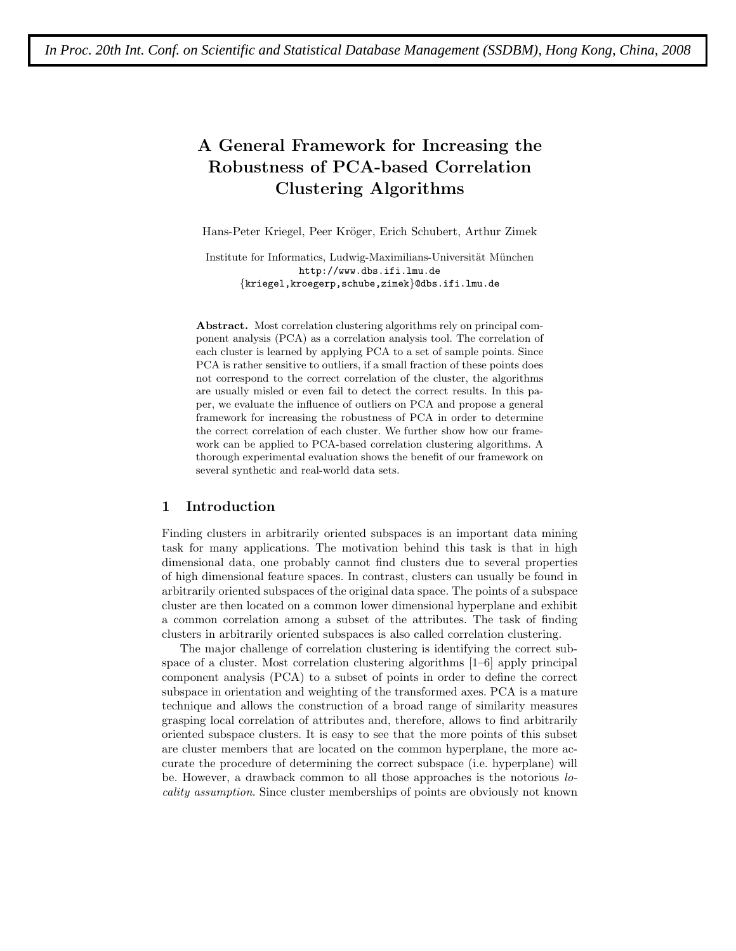*In Proc. 20th Int. Conf. on Scientific and Statistical Database Management (SSDBM), Hong Kong, China, 2008*

# **A General Framework for Increasing the Robustness of PCA-based Correlation Clustering Algorithms**

Hans-Peter Kriegel, Peer Kröger, Erich Schubert, Arthur Zimek

Institute for Informatics, Ludwig-Maximilians-Universität München http://www.dbs.ifi.lmu.de *{*kriegel,kroegerp,schube,zimek*}*@dbs.ifi.lmu.de

**Abstract.** Most correlation clustering algorithms rely on principal component analysis (PCA) as a correlation analysis tool. The correlation of each cluster is learned by applying PCA to a set of sample points. Since PCA is rather sensitive to outliers, if a small fraction of these points does not correspond to the correct correlation of the cluster, the algorithms are usually misled or even fail to detect the correct results. In this paper, we evaluate the influence of outliers on PCA and propose a general framework for increasing the robustness of PCA in order to determine the correct correlation of each cluster. We further show how our framework can be applied to PCA-based correlation clustering algorithms. A thorough experimental evaluation shows the benefit of our framework on several synthetic and real-world data sets.

## **1 Introduction**

Finding clusters in arbitrarily oriented subspaces is an important data mining task for many applications. The motivation behind this task is that in high dimensional data, one probably cannot find clusters due to several properties of high dimensional feature spaces. In contrast, clusters can usually be found in arbitrarily oriented subspaces of the original data space. The points of a subspace cluster are then located on a common lower dimensional hyperplane and exhibit a common correlation among a subset of the attributes. The task of finding clusters in arbitrarily oriented subspaces is also called correlation clustering.

The major challenge of correlation clustering is identifying the correct subspace of a cluster. Most correlation clustering algorithms [1–6] apply principal component analysis (PCA) to a subset of points in order to define the correct subspace in orientation and weighting of the transformed axes. PCA is a mature technique and allows the construction of a broad range of similarity measures grasping local correlation of attributes and, therefore, allows to find arbitrarily oriented subspace clusters. It is easy to see that the more points of this subset are cluster members that are located on the common hyperplane, the more accurate the procedure of determining the correct subspace (i.e. hyperplane) will be. However, a drawback common to all those approaches is the notorious *locality assumption*. Since cluster memberships of points are obviously not known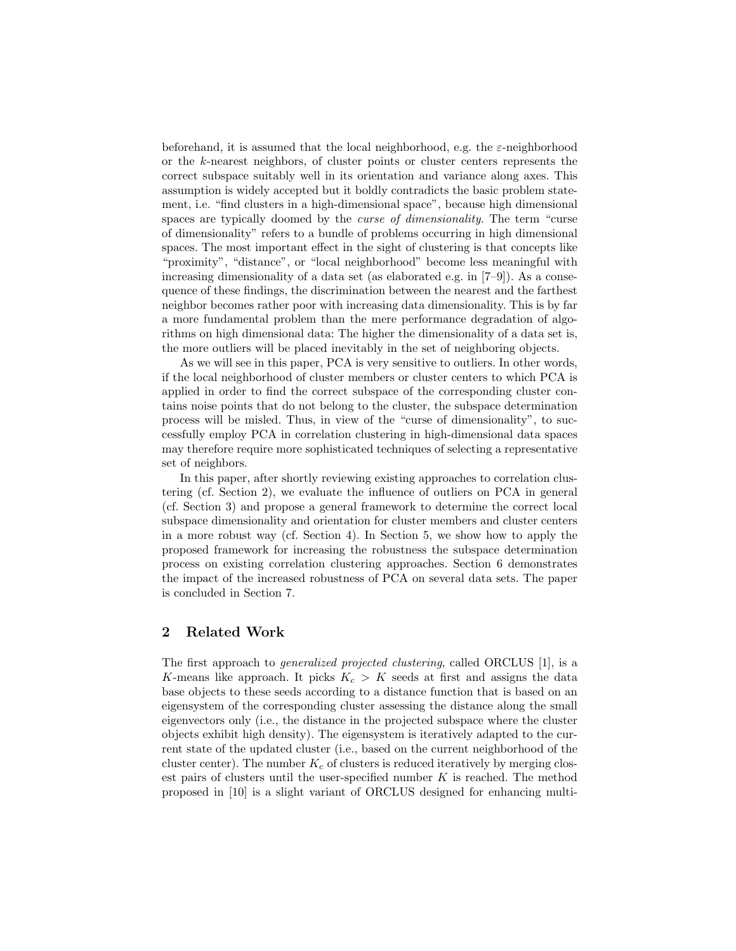beforehand, it is assumed that the local neighborhood, e.g. the  $\varepsilon$ -neighborhood or the k-nearest neighbors, of cluster points or cluster centers represents the correct subspace suitably well in its orientation and variance along axes. This assumption is widely accepted but it boldly contradicts the basic problem statement, i.e. "find clusters in a high-dimensional space", because high dimensional spaces are typically doomed by the *curse of dimensionality*. The term "curse of dimensionality" refers to a bundle of problems occurring in high dimensional spaces. The most important effect in the sight of clustering is that concepts like "proximity", "distance", or "local neighborhood" become less meaningful with increasing dimensionality of a data set (as elaborated e.g. in [7–9]). As a consequence of these findings, the discrimination between the nearest and the farthest neighbor becomes rather poor with increasing data dimensionality. This is by far a more fundamental problem than the mere performance degradation of algorithms on high dimensional data: The higher the dimensionality of a data set is, the more outliers will be placed inevitably in the set of neighboring objects.

As we will see in this paper, PCA is very sensitive to outliers. In other words, if the local neighborhood of cluster members or cluster centers to which PCA is applied in order to find the correct subspace of the corresponding cluster contains noise points that do not belong to the cluster, the subspace determination process will be misled. Thus, in view of the "curse of dimensionality", to successfully employ PCA in correlation clustering in high-dimensional data spaces may therefore require more sophisticated techniques of selecting a representative set of neighbors.

In this paper, after shortly reviewing existing approaches to correlation clustering (cf. Section 2), we evaluate the influence of outliers on PCA in general (cf. Section 3) and propose a general framework to determine the correct local subspace dimensionality and orientation for cluster members and cluster centers in a more robust way (cf. Section 4). In Section 5, we show how to apply the proposed framework for increasing the robustness the subspace determination process on existing correlation clustering approaches. Section 6 demonstrates the impact of the increased robustness of PCA on several data sets. The paper is concluded in Section 7.

# **2 Related Work**

The first approach to *generalized projected clustering*, called ORCLUS [1], is a K-means like approach. It picks  $K_c > K$  seeds at first and assigns the data base objects to these seeds according to a distance function that is based on an eigensystem of the corresponding cluster assessing the distance along the small eigenvectors only (i.e., the distance in the projected subspace where the cluster objects exhibit high density). The eigensystem is iteratively adapted to the current state of the updated cluster (i.e., based on the current neighborhood of the cluster center). The number  $K_c$  of clusters is reduced iteratively by merging closest pairs of clusters until the user-specified number  $K$  is reached. The method proposed in [10] is a slight variant of ORCLUS designed for enhancing multi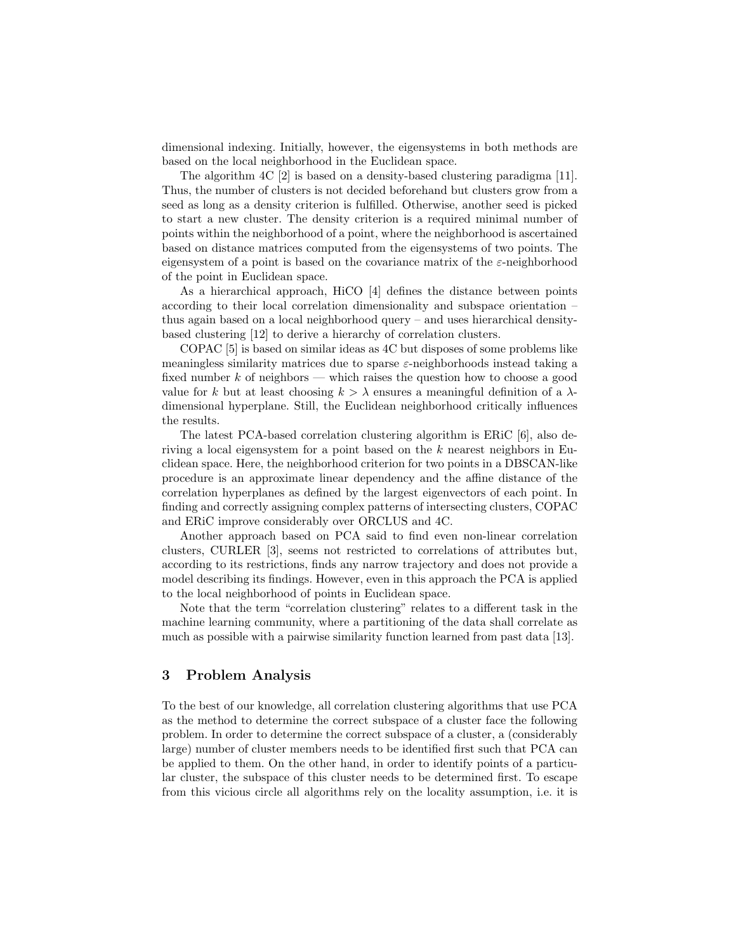dimensional indexing. Initially, however, the eigensystems in both methods are based on the local neighborhood in the Euclidean space.

The algorithm 4C [2] is based on a density-based clustering paradigma [11]. Thus, the number of clusters is not decided beforehand but clusters grow from a seed as long as a density criterion is fulfilled. Otherwise, another seed is picked to start a new cluster. The density criterion is a required minimal number of points within the neighborhood of a point, where the neighborhood is ascertained based on distance matrices computed from the eigensystems of two points. The eigensystem of a point is based on the covariance matrix of the  $\varepsilon$ -neighborhood of the point in Euclidean space.

As a hierarchical approach, HiCO [4] defines the distance between points according to their local correlation dimensionality and subspace orientation – thus again based on a local neighborhood query – and uses hierarchical densitybased clustering [12] to derive a hierarchy of correlation clusters.

COPAC [5] is based on similar ideas as 4C but disposes of some problems like meaningless similarity matrices due to sparse  $\varepsilon$ -neighborhoods instead taking a fixed number k of neighbors — which raises the question how to choose a good value for k but at least choosing  $k>\lambda$  ensures a meaningful definition of a  $\lambda$ dimensional hyperplane. Still, the Euclidean neighborhood critically influences the results.

The latest PCA-based correlation clustering algorithm is ERiC [6], also deriving a local eigensystem for a point based on the  $k$  nearest neighbors in Euclidean space. Here, the neighborhood criterion for two points in a DBSCAN-like procedure is an approximate linear dependency and the affine distance of the correlation hyperplanes as defined by the largest eigenvectors of each point. In finding and correctly assigning complex patterns of intersecting clusters, COPAC and ERiC improve considerably over ORCLUS and 4C.

Another approach based on PCA said to find even non-linear correlation clusters, CURLER [3], seems not restricted to correlations of attributes but, according to its restrictions, finds any narrow trajectory and does not provide a model describing its findings. However, even in this approach the PCA is applied to the local neighborhood of points in Euclidean space.

Note that the term "correlation clustering" relates to a different task in the machine learning community, where a partitioning of the data shall correlate as much as possible with a pairwise similarity function learned from past data [13].

# **3 Problem Analysis**

To the best of our knowledge, all correlation clustering algorithms that use PCA as the method to determine the correct subspace of a cluster face the following problem. In order to determine the correct subspace of a cluster, a (considerably large) number of cluster members needs to be identified first such that PCA can be applied to them. On the other hand, in order to identify points of a particular cluster, the subspace of this cluster needs to be determined first. To escape from this vicious circle all algorithms rely on the locality assumption, i.e. it is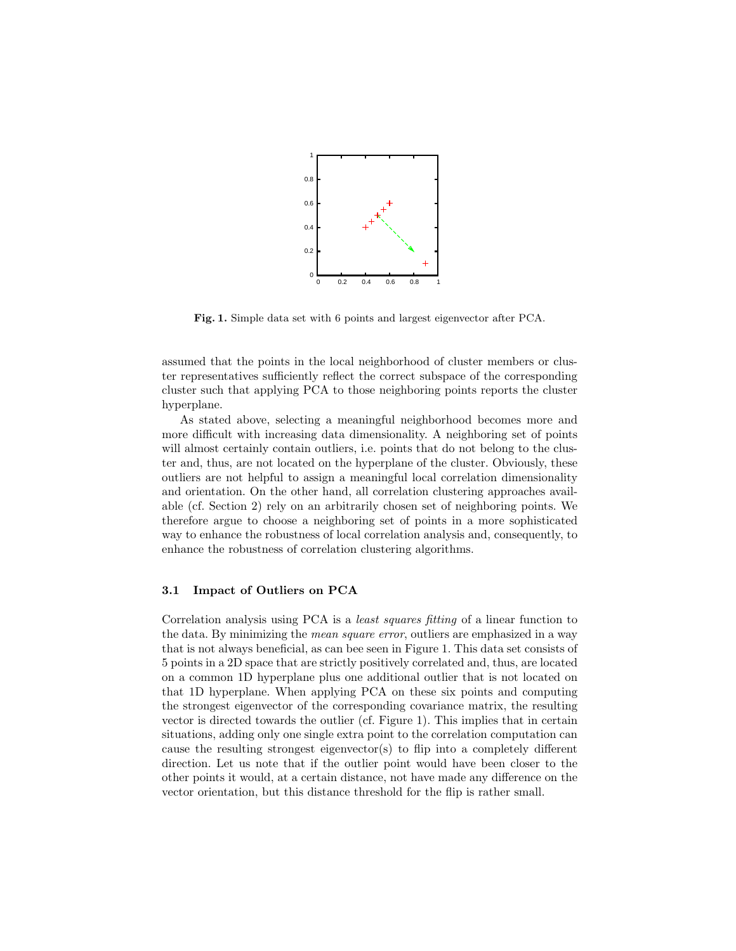

**Fig. 1.** Simple data set with 6 points and largest eigenvector after PCA.

assumed that the points in the local neighborhood of cluster members or cluster representatives sufficiently reflect the correct subspace of the corresponding cluster such that applying PCA to those neighboring points reports the cluster hyperplane.

As stated above, selecting a meaningful neighborhood becomes more and more difficult with increasing data dimensionality. A neighboring set of points will almost certainly contain outliers, i.e. points that do not belong to the cluster and, thus, are not located on the hyperplane of the cluster. Obviously, these outliers are not helpful to assign a meaningful local correlation dimensionality and orientation. On the other hand, all correlation clustering approaches available (cf. Section 2) rely on an arbitrarily chosen set of neighboring points. We therefore argue to choose a neighboring set of points in a more sophisticated way to enhance the robustness of local correlation analysis and, consequently, to enhance the robustness of correlation clustering algorithms.

#### **3.1 Impact of Outliers on PCA**

Correlation analysis using PCA is a *least squares fitting* of a linear function to the data. By minimizing the *mean square error*, outliers are emphasized in a way that is not always beneficial, as can bee seen in Figure 1. This data set consists of 5 points in a 2D space that are strictly positively correlated and, thus, are located on a common 1D hyperplane plus one additional outlier that is not located on that 1D hyperplane. When applying PCA on these six points and computing the strongest eigenvector of the corresponding covariance matrix, the resulting vector is directed towards the outlier (cf. Figure 1). This implies that in certain situations, adding only one single extra point to the correlation computation can cause the resulting strongest eigenvector(s) to flip into a completely different direction. Let us note that if the outlier point would have been closer to the other points it would, at a certain distance, not have made any difference on the vector orientation, but this distance threshold for the flip is rather small.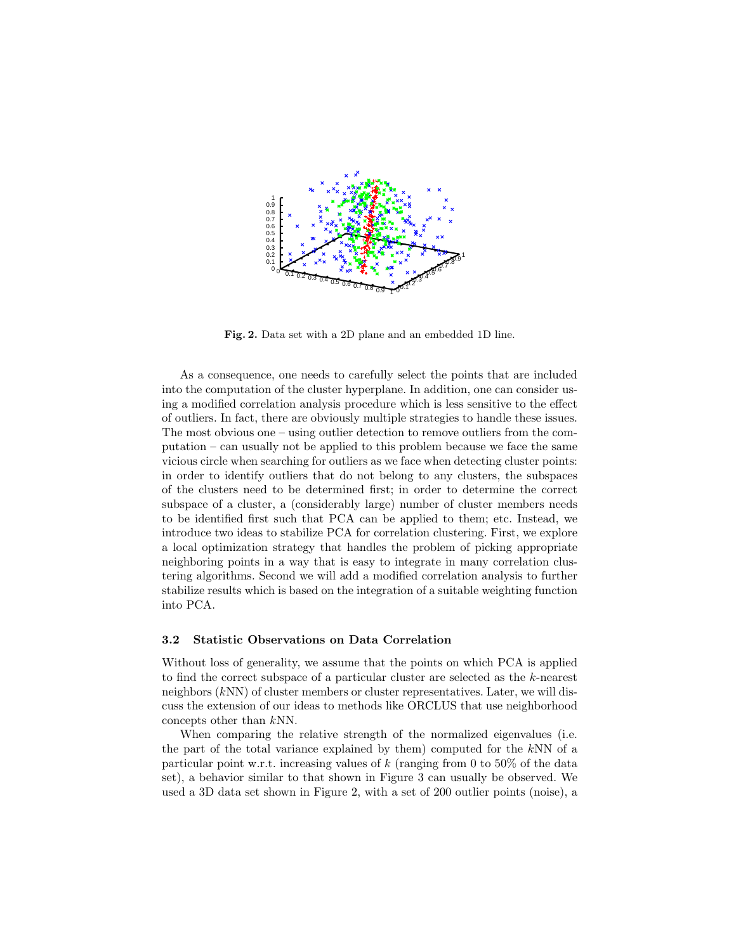

**Fig. 2.** Data set with a 2D plane and an embedded 1D line.

As a consequence, one needs to carefully select the points that are included into the computation of the cluster hyperplane. In addition, one can consider using a modified correlation analysis procedure which is less sensitive to the effect of outliers. In fact, there are obviously multiple strategies to handle these issues. The most obvious one – using outlier detection to remove outliers from the computation – can usually not be applied to this problem because we face the same vicious circle when searching for outliers as we face when detecting cluster points: in order to identify outliers that do not belong to any clusters, the subspaces of the clusters need to be determined first; in order to determine the correct subspace of a cluster, a (considerably large) number of cluster members needs to be identified first such that PCA can be applied to them; etc. Instead, we introduce two ideas to stabilize PCA for correlation clustering. First, we explore a local optimization strategy that handles the problem of picking appropriate neighboring points in a way that is easy to integrate in many correlation clustering algorithms. Second we will add a modified correlation analysis to further stabilize results which is based on the integration of a suitable weighting function into PCA.

#### **3.2 Statistic Observations on Data Correlation**

Without loss of generality, we assume that the points on which PCA is applied to find the correct subspace of a particular cluster are selected as the k-nearest neighbors  $(kNN)$  of cluster members or cluster representatives. Later, we will discuss the extension of our ideas to methods like ORCLUS that use neighborhood concepts other than kNN.

When comparing the relative strength of the normalized eigenvalues (i.e. the part of the total variance explained by them) computed for the kNN of a particular point w.r.t. increasing values of k (ranging from 0 to 50% of the data set), a behavior similar to that shown in Figure 3 can usually be observed. We used a 3D data set shown in Figure 2, with a set of 200 outlier points (noise), a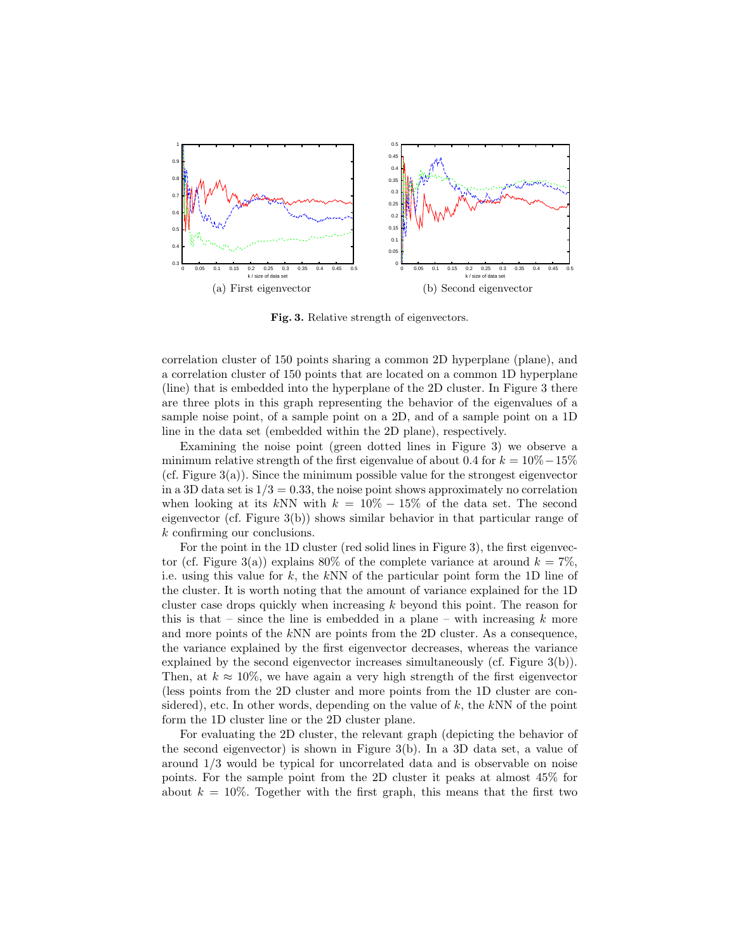

**Fig. 3.** Relative strength of eigenvectors.

correlation cluster of 150 points sharing a common 2D hyperplane (plane), and a correlation cluster of 150 points that are located on a common 1D hyperplane (line) that is embedded into the hyperplane of the 2D cluster. In Figure 3 there are three plots in this graph representing the behavior of the eigenvalues of a sample noise point, of a sample point on a 2D, and of a sample point on a 1D line in the data set (embedded within the 2D plane), respectively.

Examining the noise point (green dotted lines in Figure 3) we observe a minimum relative strength of the first eigenvalue of about 0.4 for  $k = 10\% - 15\%$  $(cf. Figure 3(a))$ . Since the minimum possible value for the strongest eigenvector in a 3D data set is  $1/3=0.33$ , the noise point shows approximately no correlation when looking at its kNN with  $k = 10\% - 15\%$  of the data set. The second eigenvector (cf. Figure 3(b)) shows similar behavior in that particular range of k confirming our conclusions.

For the point in the 1D cluster (red solid lines in Figure 3), the first eigenvector (cf. Figure 3(a)) explains 80% of the complete variance at around  $k = 7\%$ , i.e. using this value for k, the kNN of the particular point form the 1D line of the cluster. It is worth noting that the amount of variance explained for the 1D cluster case drops quickly when increasing k beyond this point. The reason for this is that – since the line is embedded in a plane – with increasing  $k$  more and more points of the kNN are points from the 2D cluster. As a consequence, the variance explained by the first eigenvector decreases, whereas the variance explained by the second eigenvector increases simultaneously (cf. Figure 3(b)). Then, at  $k \approx 10\%$ , we have again a very high strength of the first eigenvector (less points from the 2D cluster and more points from the 1D cluster are considered), etc. In other words, depending on the value of  $k$ , the kNN of the point form the 1D cluster line or the 2D cluster plane.

For evaluating the 2D cluster, the relevant graph (depicting the behavior of the second eigenvector) is shown in Figure 3(b). In a 3D data set, a value of around 1/3 would be typical for uncorrelated data and is observable on noise points. For the sample point from the 2D cluster it peaks at almost 45% for about  $k = 10\%$ . Together with the first graph, this means that the first two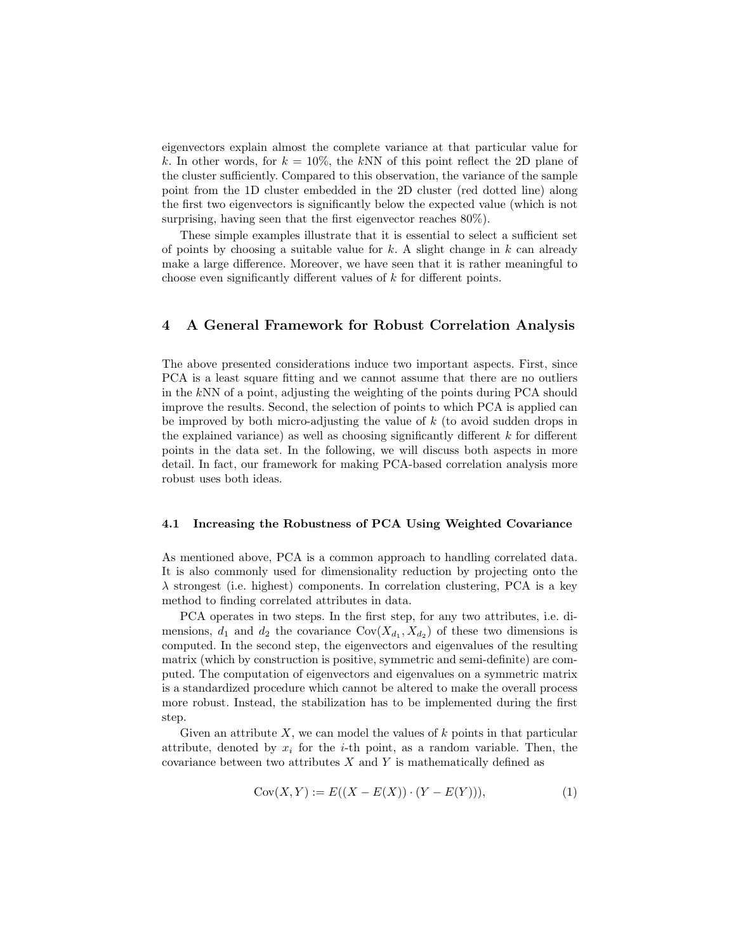eigenvectors explain almost the complete variance at that particular value for k. In other words, for  $k = 10\%$ , the kNN of this point reflect the 2D plane of the cluster sufficiently. Compared to this observation, the variance of the sample point from the 1D cluster embedded in the 2D cluster (red dotted line) along the first two eigenvectors is significantly below the expected value (which is not surprising, having seen that the first eigenvector reaches 80%).

These simple examples illustrate that it is essential to select a sufficient set of points by choosing a suitable value for  $k$ . A slight change in  $k$  can already make a large difference. Moreover, we have seen that it is rather meaningful to choose even significantly different values of k for different points.

# **4 A General Framework for Robust Correlation Analysis**

The above presented considerations induce two important aspects. First, since PCA is a least square fitting and we cannot assume that there are no outliers in the kNN of a point, adjusting the weighting of the points during PCA should improve the results. Second, the selection of points to which PCA is applied can be improved by both micro-adjusting the value of k (to avoid sudden drops in the explained variance) as well as choosing significantly different  $k$  for different points in the data set. In the following, we will discuss both aspects in more detail. In fact, our framework for making PCA-based correlation analysis more robust uses both ideas.

#### **4.1 Increasing the Robustness of PCA Using Weighted Covariance**

As mentioned above, PCA is a common approach to handling correlated data. It is also commonly used for dimensionality reduction by projecting onto the  $\lambda$  strongest (i.e. highest) components. In correlation clustering, PCA is a key method to finding correlated attributes in data.

PCA operates in two steps. In the first step, for any two attributes, i.e. dimensions,  $d_1$  and  $d_2$  the covariance  $Cov(X_{d_1}, X_{d_2})$  of these two dimensions is computed. In the second step, the eigenvectors and eigenvalues of the resulting matrix (which by construction is positive, symmetric and semi-definite) are computed. The computation of eigenvectors and eigenvalues on a symmetric matrix is a standardized procedure which cannot be altered to make the overall process more robust. Instead, the stabilization has to be implemented during the first step.

Given an attribute  $X$ , we can model the values of  $k$  points in that particular attribute, denoted by  $x_i$  for the *i*-th point, as a random variable. Then, the covariance between two attributes  $X$  and  $Y$  is mathematically defined as

Cov
$$
(X, Y) := E((X - E(X)) \cdot (Y - E(Y))),
$$
 (1)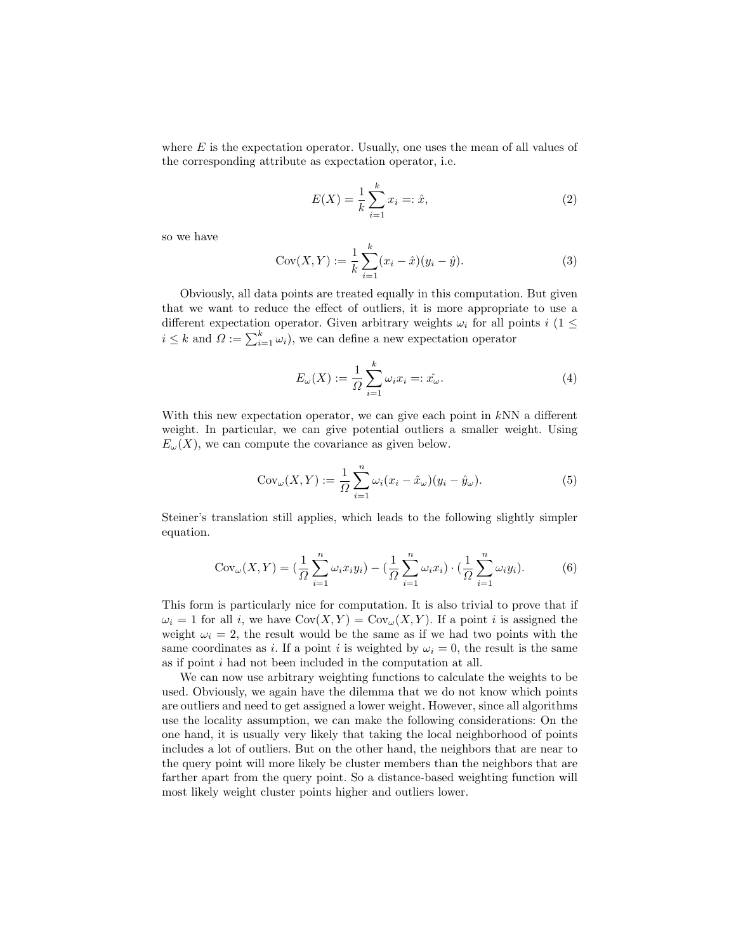where  $E$  is the expectation operator. Usually, one uses the mean of all values of the corresponding attribute as expectation operator, i.e.

$$
E(X) = \frac{1}{k} \sum_{i=1}^{k} x_i =: \hat{x},
$$
\n(2)

so we have

Cov(X, Y) := 
$$
\frac{1}{k} \sum_{i=1}^{k} (x_i - \hat{x})(y_i - \hat{y}).
$$
 (3)

Obviously, all data points are treated equally in this computation. But given that we want to reduce the effect of outliers, it is more appropriate to use a different expectation operator. Given arbitrary weights  $\omega_i$  for all points  $i$  (1  $\leq$  $i \leq k$  and  $\Omega := \sum_{i=1}^{k} \omega_i$ , we can define a new expectation operator

$$
E_{\omega}(X) := \frac{1}{\Omega} \sum_{i=1}^{k} \omega_i x_i =: \hat{x_{\omega}}.
$$
\n(4)

With this new expectation operator, we can give each point in  $kNN$  a different weight. In particular, we can give potential outliers a smaller weight. Using  $E_{\omega}(X)$ , we can compute the covariance as given below.

$$
Cov_{\omega}(X, Y) := \frac{1}{\Omega} \sum_{i=1}^{n} \omega_i (x_i - \hat{x}_{\omega})(y_i - \hat{y}_{\omega}).
$$
\n(5)

Steiner's translation still applies, which leads to the following slightly simpler equation.

$$
Cov_{\omega}(X, Y) = \left(\frac{1}{\Omega} \sum_{i=1}^{n} \omega_i x_i y_i\right) - \left(\frac{1}{\Omega} \sum_{i=1}^{n} \omega_i x_i\right) \cdot \left(\frac{1}{\Omega} \sum_{i=1}^{n} \omega_i y_i\right). \tag{6}
$$

This form is particularly nice for computation. It is also trivial to prove that if  $\omega_i = 1$  for all i, we have  $Cov(X, Y) = Cov_\omega(X, Y)$ . If a point i is assigned the weight  $\omega_i = 2$ , the result would be the same as if we had two points with the same coordinates as i. If a point i is weighted by  $\omega_i = 0$ , the result is the same as if point i had not been included in the computation at all.

We can now use arbitrary weighting functions to calculate the weights to be used. Obviously, we again have the dilemma that we do not know which points are outliers and need to get assigned a lower weight. However, since all algorithms use the locality assumption, we can make the following considerations: On the one hand, it is usually very likely that taking the local neighborhood of points includes a lot of outliers. But on the other hand, the neighbors that are near to the query point will more likely be cluster members than the neighbors that are farther apart from the query point. So a distance-based weighting function will most likely weight cluster points higher and outliers lower.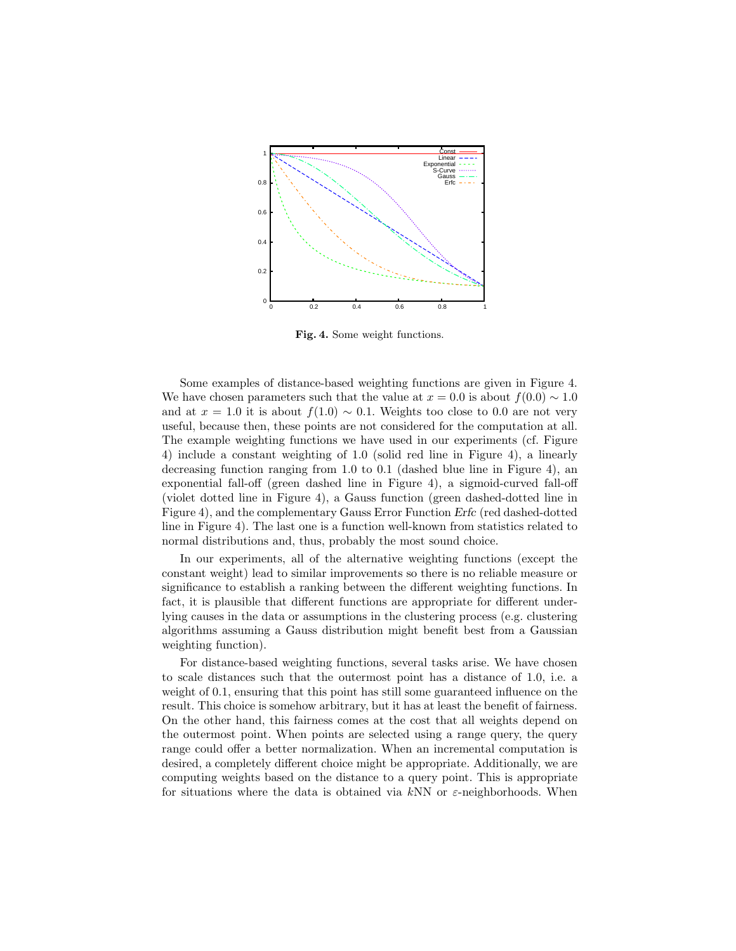

**Fig. 4.** Some weight functions.

Some examples of distance-based weighting functions are given in Figure 4. We have chosen parameters such that the value at  $x = 0.0$  is about  $f(0.0) \sim 1.0$ and at  $x = 1.0$  it is about  $f(1.0) \sim 0.1$ . Weights too close to 0.0 are not very useful, because then, these points are not considered for the computation at all. The example weighting functions we have used in our experiments (cf. Figure 4) include a constant weighting of 1.0 (solid red line in Figure 4), a linearly decreasing function ranging from 1.0 to 0.1 (dashed blue line in Figure 4), an exponential fall-off (green dashed line in Figure 4), a sigmoid-curved fall-off (violet dotted line in Figure 4), a Gauss function (green dashed-dotted line in Figure 4), and the complementary Gauss Error Function *Erfc* (red dashed-dotted line in Figure 4). The last one is a function well-known from statistics related to normal distributions and, thus, probably the most sound choice.

In our experiments, all of the alternative weighting functions (except the constant weight) lead to similar improvements so there is no reliable measure or significance to establish a ranking between the different weighting functions. In fact, it is plausible that different functions are appropriate for different underlying causes in the data or assumptions in the clustering process (e.g. clustering algorithms assuming a Gauss distribution might benefit best from a Gaussian weighting function).

For distance-based weighting functions, several tasks arise. We have chosen to scale distances such that the outermost point has a distance of 1.0, i.e. a weight of 0.1, ensuring that this point has still some guaranteed influence on the result. This choice is somehow arbitrary, but it has at least the benefit of fairness. On the other hand, this fairness comes at the cost that all weights depend on the outermost point. When points are selected using a range query, the query range could offer a better normalization. When an incremental computation is desired, a completely different choice might be appropriate. Additionally, we are computing weights based on the distance to a query point. This is appropriate for situations where the data is obtained via kNN or  $\varepsilon$ -neighborhoods. When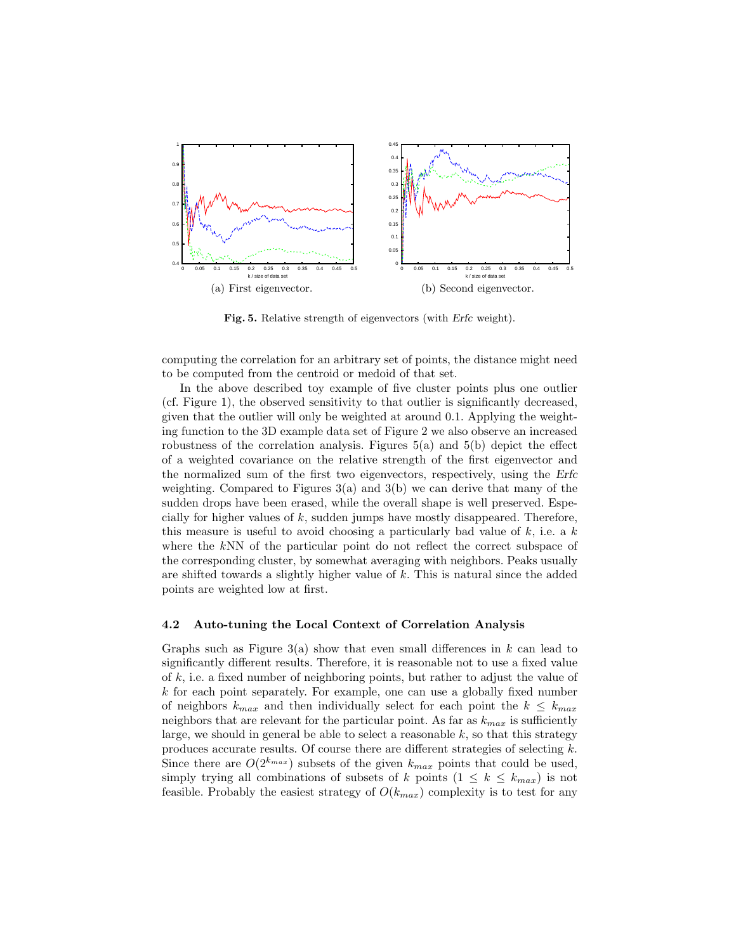

**Fig. 5.** Relative strength of eigenvectors (with *Erfc* weight).

computing the correlation for an arbitrary set of points, the distance might need to be computed from the centroid or medoid of that set.

In the above described toy example of five cluster points plus one outlier (cf. Figure 1), the observed sensitivity to that outlier is significantly decreased, given that the outlier will only be weighted at around 0.1. Applying the weighting function to the 3D example data set of Figure 2 we also observe an increased robustness of the correlation analysis. Figures  $5(a)$  and  $5(b)$  depict the effect of a weighted covariance on the relative strength of the first eigenvector and the normalized sum of the first two eigenvectors, respectively, using the *Erfc* weighting. Compared to Figures  $3(a)$  and  $3(b)$  we can derive that many of the sudden drops have been erased, while the overall shape is well preserved. Especially for higher values of  $k$ , sudden jumps have mostly disappeared. Therefore, this measure is useful to avoid choosing a particularly bad value of  $k$ , i.e. a k where the kNN of the particular point do not reflect the correct subspace of the corresponding cluster, by somewhat averaging with neighbors. Peaks usually are shifted towards a slightly higher value of k. This is natural since the added points are weighted low at first.

#### **4.2 Auto-tuning the Local Context of Correlation Analysis**

Graphs such as Figure  $3(a)$  show that even small differences in k can lead to significantly different results. Therefore, it is reasonable not to use a fixed value of  $k$ , i.e. a fixed number of neighboring points, but rather to adjust the value of  $k$  for each point separately. For example, one can use a globally fixed number of neighbors  $k_{max}$  and then individually select for each point the  $k \leq k_{max}$ neighbors that are relevant for the particular point. As far as  $k_{max}$  is sufficiently large, we should in general be able to select a reasonable  $k$ , so that this strategy produces accurate results. Of course there are different strategies of selecting  $k$ . Since there are  $O(2^{k_{max}})$  subsets of the given  $k_{max}$  points that could be used, simply trying all combinations of subsets of k points  $(1 \leq k \leq k_{max})$  is not feasible. Probably the easiest strategy of  $O(k_{max})$  complexity is to test for any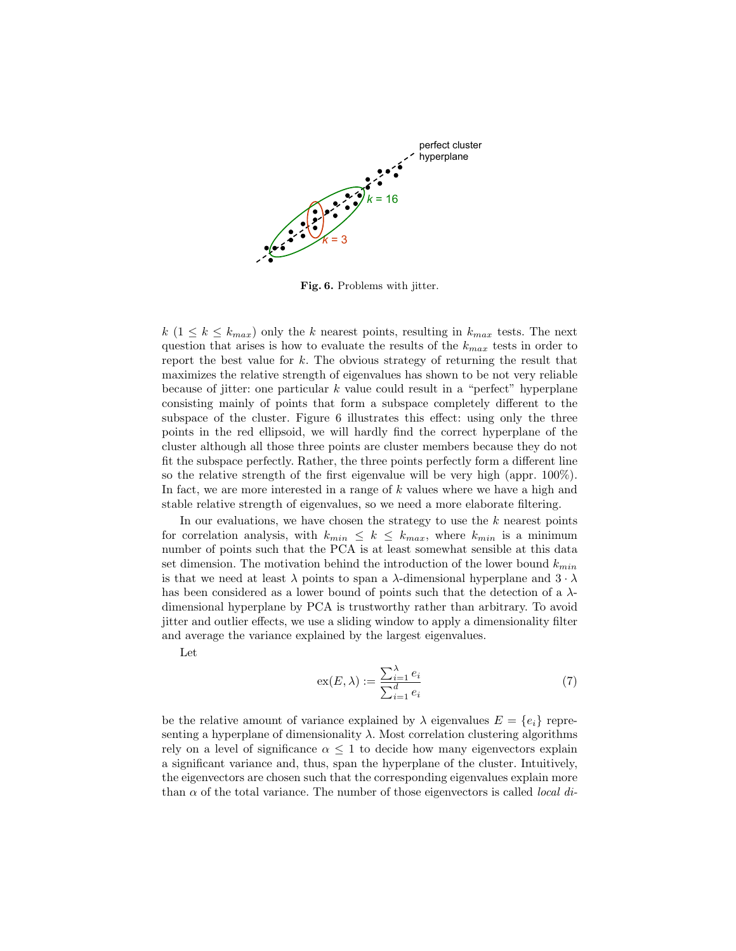

**Fig. 6.** Problems with jitter.

 $k$  ( $1 \leq k \leq k_{max}$ ) only the k nearest points, resulting in  $k_{max}$  tests. The next question that arises is how to evaluate the results of the  $k_{max}$  tests in order to report the best value for  $k$ . The obvious strategy of returning the result that maximizes the relative strength of eigenvalues has shown to be not very reliable because of jitter: one particular  $k$  value could result in a "perfect" hyperplane consisting mainly of points that form a subspace completely different to the subspace of the cluster. Figure 6 illustrates this effect: using only the three points in the red ellipsoid, we will hardly find the correct hyperplane of the cluster although all those three points are cluster members because they do not fit the subspace perfectly. Rather, the three points perfectly form a different line so the relative strength of the first eigenvalue will be very high (appr. 100%). In fact, we are more interested in a range of k values where we have a high and stable relative strength of eigenvalues, so we need a more elaborate filtering.

In our evaluations, we have chosen the strategy to use the  $k$  nearest points for correlation analysis, with  $k_{min} \leq k \leq k_{max}$ , where  $k_{min}$  is a minimum number of points such that the PCA is at least somewhat sensible at this data set dimension. The motivation behind the introduction of the lower bound  $k_{min}$ is that we need at least  $\lambda$  points to span a  $\lambda$ -dimensional hyperplane and  $3 \cdot \lambda$ has been considered as a lower bound of points such that the detection of a  $\lambda$ dimensional hyperplane by PCA is trustworthy rather than arbitrary. To avoid jitter and outlier effects, we use a sliding window to apply a dimensionality filter and average the variance explained by the largest eigenvalues.

Let

$$
\operatorname{ex}(E,\lambda) := \frac{\sum_{i=1}^{\lambda} e_i}{\sum_{i=1}^d e_i} \tag{7}
$$

be the relative amount of variance explained by  $\lambda$  eigenvalues  $E = \{e_i\}$  representing a hyperplane of dimensionality  $\lambda$ . Most correlation clustering algorithms rely on a level of significance  $\alpha \leq 1$  to decide how many eigenvectors explain a significant variance and, thus, span the hyperplane of the cluster. Intuitively, the eigenvectors are chosen such that the corresponding eigenvalues explain more than α of the total variance. The number of those eigenvectors is called *local di-*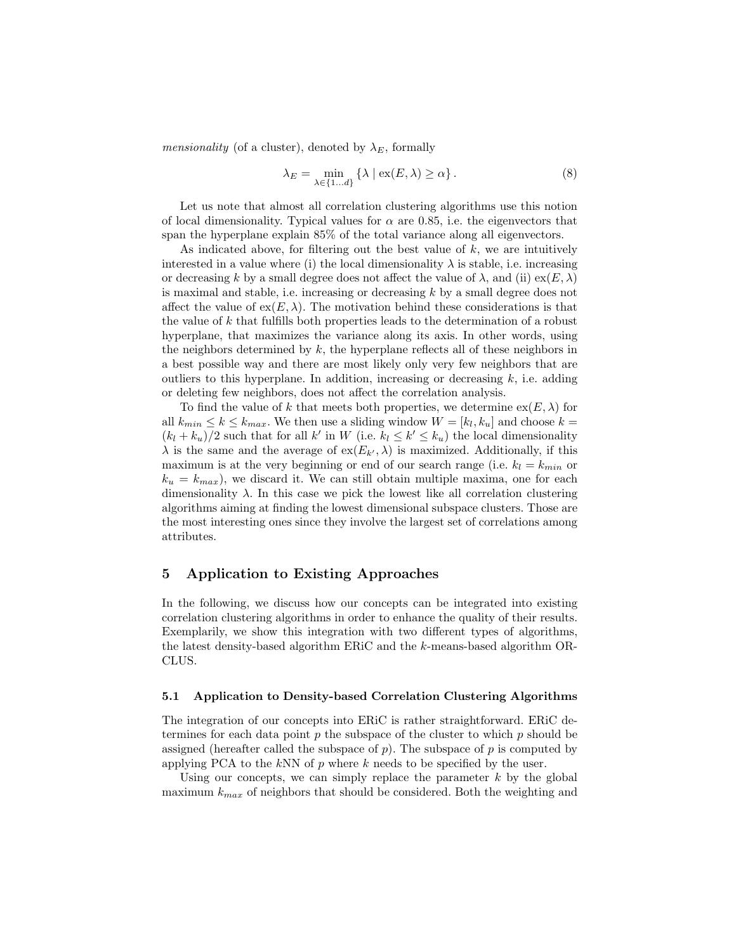*mensionality* (of a cluster), denoted by  $\lambda_E$ , formally

$$
\lambda_E = \min_{\lambda \in \{1...d\}} \{ \lambda \mid \text{ex}(E, \lambda) \ge \alpha \}. \tag{8}
$$

Let us note that almost all correlation clustering algorithms use this notion of local dimensionality. Typical values for  $\alpha$  are 0.85, i.e. the eigenvectors that span the hyperplane explain 85% of the total variance along all eigenvectors.

As indicated above, for filtering out the best value of  $k$ , we are intuitively interested in a value where (i) the local dimensionality  $\lambda$  is stable, i.e. increasing or decreasing k by a small degree does not affect the value of  $\lambda$ , and (ii)  $ex(E, \lambda)$ is maximal and stable, i.e. increasing or decreasing  $k$  by a small degree does not affect the value of  $ex(E, \lambda)$ . The motivation behind these considerations is that the value of  $k$  that fulfills both properties leads to the determination of a robust hyperplane, that maximizes the variance along its axis. In other words, using the neighbors determined by  $k$ , the hyperplane reflects all of these neighbors in a best possible way and there are most likely only very few neighbors that are outliers to this hyperplane. In addition, increasing or decreasing  $k$ , i.e. adding or deleting few neighbors, does not affect the correlation analysis.

To find the value of k that meets both properties, we determine  $ex(E, \lambda)$  for all  $k_{min} \le k \le k_{max}$ . We then use a sliding window  $W = [k_l, k_u]$  and choose  $k =$  $(k_l + k_u)/2$  such that for all k' in W (i.e.  $k_l \leq k' \leq k_u$ ) the local dimensionality  $\lambda$  is the same and the average of  $ex(E_{k'}, \lambda)$  is maximized. Additionally, if this maximum is at the very beginning or end of our search range (i.e.  $k_l = k_{min}$  or  $k_u = k_{max}$ , we discard it. We can still obtain multiple maxima, one for each dimensionality  $\lambda$ . In this case we pick the lowest like all correlation clustering algorithms aiming at finding the lowest dimensional subspace clusters. Those are the most interesting ones since they involve the largest set of correlations among attributes.

# **5 Application to Existing Approaches**

In the following, we discuss how our concepts can be integrated into existing correlation clustering algorithms in order to enhance the quality of their results. Exemplarily, we show this integration with two different types of algorithms, the latest density-based algorithm ERiC and the k-means-based algorithm OR-CLUS.

#### **5.1 Application to Density-based Correlation Clustering Algorithms**

The integration of our concepts into ERiC is rather straightforward. ERiC determines for each data point  $p$  the subspace of the cluster to which  $p$  should be assigned (hereafter called the subspace of  $p$ ). The subspace of  $p$  is computed by applying PCA to the  $kNN$  of p where k needs to be specified by the user.

Using our concepts, we can simply replace the parameter  $k$  by the global maximum  $k_{max}$  of neighbors that should be considered. Both the weighting and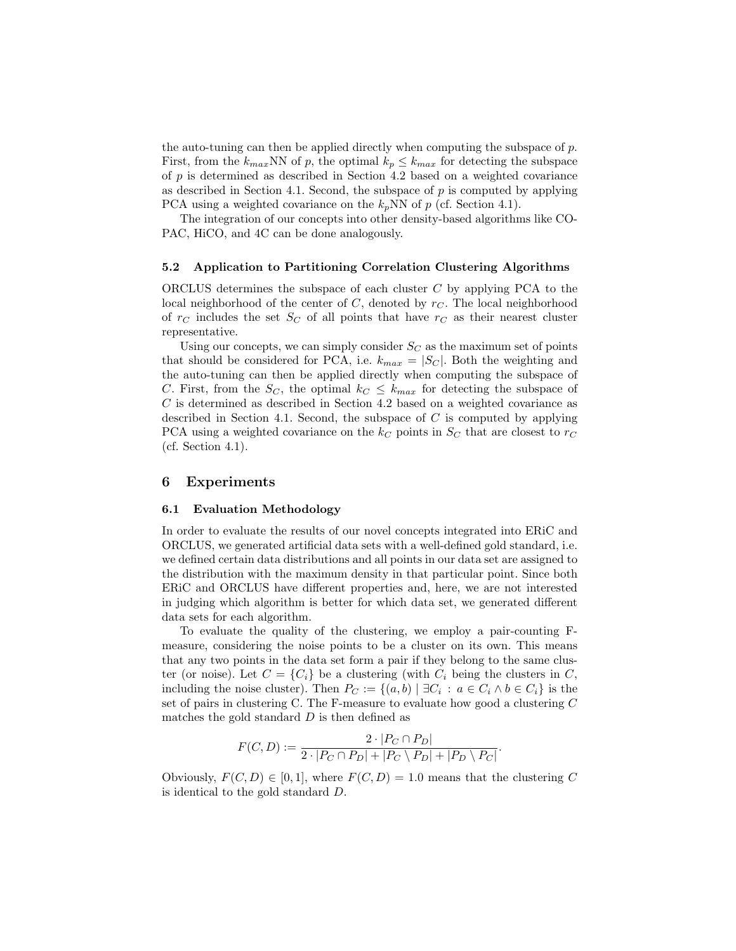the auto-tuning can then be applied directly when computing the subspace of  $p$ . First, from the  $k_{max}$ NN of p, the optimal  $k_p \leq k_{max}$  for detecting the subspace of  $p$  is determined as described in Section 4.2 based on a weighted covariance as described in Section 4.1. Second, the subspace of  $p$  is computed by applying PCA using a weighted covariance on the  $k_p$ NN of p (cf. Section 4.1).

The integration of our concepts into other density-based algorithms like CO-PAC, HiCO, and 4C can be done analogously.

#### **5.2 Application to Partitioning Correlation Clustering Algorithms**

ORCLUS determines the subspace of each cluster  $C$  by applying PCA to the local neighborhood of the center of  $C$ , denoted by  $r<sub>C</sub>$ . The local neighborhood of  $r_C$  includes the set  $S_C$  of all points that have  $r_C$  as their nearest cluster representative.

Using our concepts, we can simply consider  $S_C$  as the maximum set of points that should be considered for PCA, i.e.  $k_{max} = |S_C|$ . Both the weighting and the auto-tuning can then be applied directly when computing the subspace of C. First, from the  $S_C$ , the optimal  $k_C \leq k_{max}$  for detecting the subspace of C is determined as described in Section 4.2 based on a weighted covariance as described in Section 4.1. Second, the subspace of  $C$  is computed by applying PCA using a weighted covariance on the  $k_C$  points in  $S_C$  that are closest to  $r_C$  $(cf. Section 4.1).$ 

# **6 Experiments**

#### **6.1 Evaluation Methodology**

In order to evaluate the results of our novel concepts integrated into ERiC and ORCLUS, we generated artificial data sets with a well-defined gold standard, i.e. we defined certain data distributions and all points in our data set are assigned to the distribution with the maximum density in that particular point. Since both ERiC and ORCLUS have different properties and, here, we are not interested in judging which algorithm is better for which data set, we generated different data sets for each algorithm.

To evaluate the quality of the clustering, we employ a pair-counting Fmeasure, considering the noise points to be a cluster on its own. This means that any two points in the data set form a pair if they belong to the same cluster (or noise). Let  $C = \{C_i\}$  be a clustering (with  $C_i$  being the clusters in C, including the noise cluster). Then  $P_C := \{(a, b) | \exists C_i : a \in C_i \land b \in C_i\}$  is the set of pairs in clustering C. The F-measure to evaluate how good a clustering C matches the gold standard  $D$  is then defined as

$$
F(C, D) := \frac{2 \cdot |P_C \cap P_D|}{2 \cdot |P_C \cap P_D| + |P_C \setminus P_D| + |P_D \setminus P_C|}.
$$

Obviously,  $F(C, D) \in [0, 1]$ , where  $F(C, D) = 1.0$  means that the clustering C is identical to the gold standard D.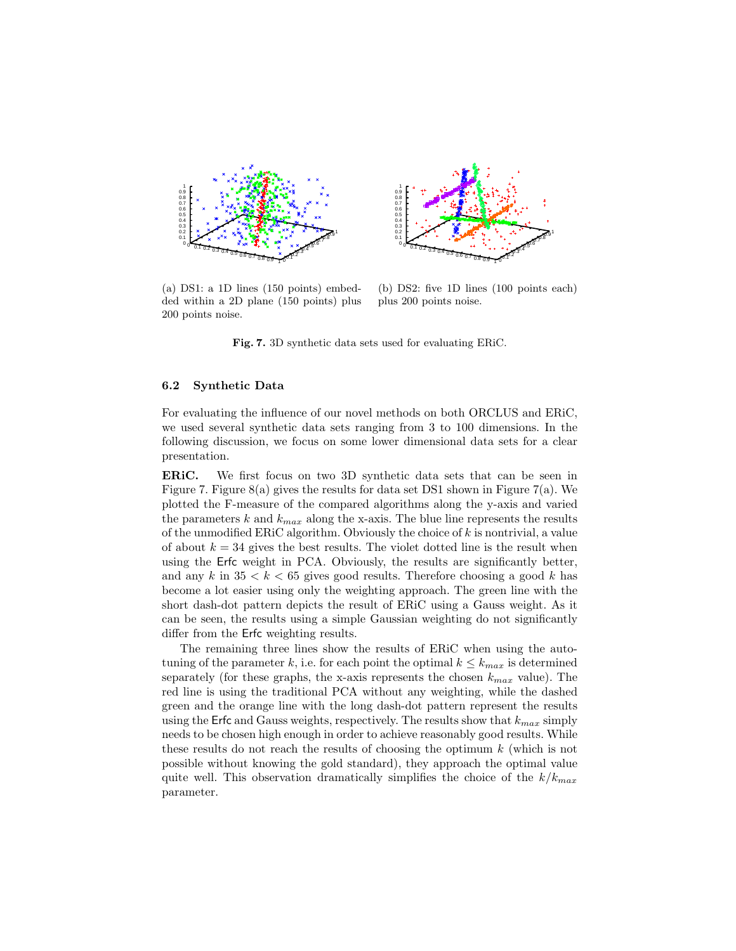

(a) DS1: a 1D lines (150 points) embedded within a 2D plane (150 points) plus 200 points noise.

(b) DS2: five 1D lines (100 points each) plus 200 points noise.

**Fig. 7.** 3D synthetic data sets used for evaluating ERiC.

#### **6.2 Synthetic Data**

For evaluating the influence of our novel methods on both ORCLUS and ERiC, we used several synthetic data sets ranging from 3 to 100 dimensions. In the following discussion, we focus on some lower dimensional data sets for a clear presentation.

**ERiC.** We first focus on two 3D synthetic data sets that can be seen in Figure 7. Figure 8(a) gives the results for data set DS1 shown in Figure 7(a). We plotted the F-measure of the compared algorithms along the y-axis and varied the parameters k and  $k_{max}$  along the x-axis. The blue line represents the results of the unmodified ERiC algorithm. Obviously the choice of  $k$  is nontrivial, a value of about  $k = 34$  gives the best results. The violet dotted line is the result when using the Erfc weight in PCA. Obviously, the results are significantly better, and any k in  $35 < k < 65$  gives good results. Therefore choosing a good k has become a lot easier using only the weighting approach. The green line with the short dash-dot pattern depicts the result of ERiC using a Gauss weight. As it can be seen, the results using a simple Gaussian weighting do not significantly differ from the Erfc weighting results.

The remaining three lines show the results of ERiC when using the autotuning of the parameter k, i.e. for each point the optimal  $k \leq k_{max}$  is determined separately (for these graphs, the x-axis represents the chosen  $k_{max}$  value). The red line is using the traditional PCA without any weighting, while the dashed green and the orange line with the long dash-dot pattern represent the results using the Erfc and Gauss weights, respectively. The results show that  $k_{max}$  simply needs to be chosen high enough in order to achieve reasonably good results. While these results do not reach the results of choosing the optimum  $k$  (which is not possible without knowing the gold standard), they approach the optimal value quite well. This observation dramatically simplifies the choice of the  $k/k_{max}$ parameter.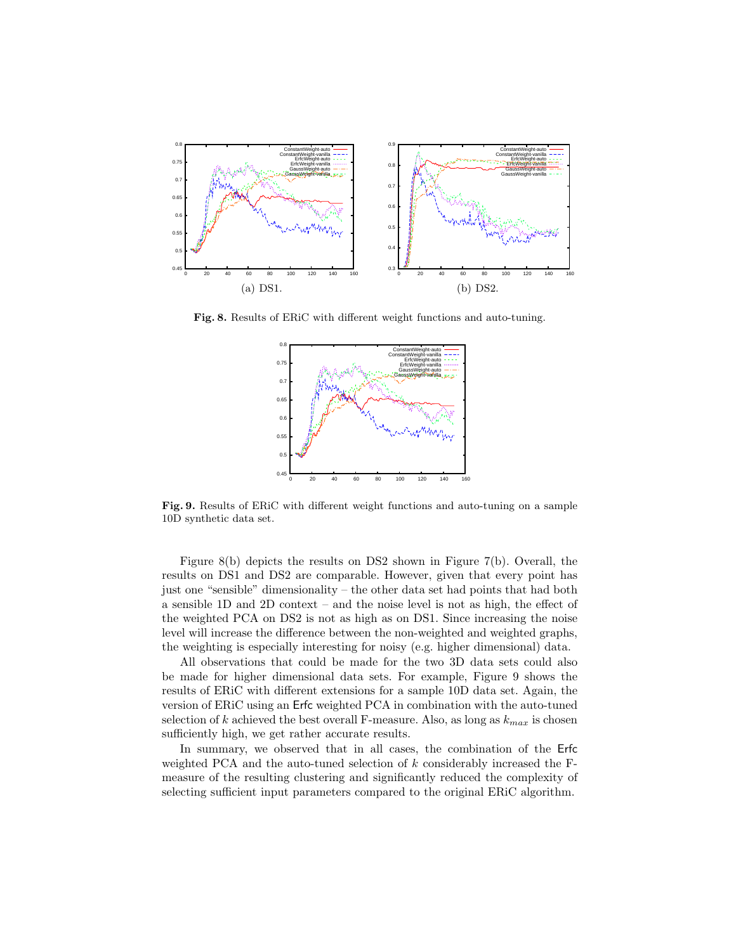

**Fig. 8.** Results of ERiC with different weight functions and auto-tuning.



**Fig. 9.** Results of ERiC with different weight functions and auto-tuning on a sample 10D synthetic data set.

Figure 8(b) depicts the results on DS2 shown in Figure 7(b). Overall, the results on DS1 and DS2 are comparable. However, given that every point has just one "sensible" dimensionality – the other data set had points that had both a sensible 1D and 2D context – and the noise level is not as high, the effect of the weighted PCA on DS2 is not as high as on DS1. Since increasing the noise level will increase the difference between the non-weighted and weighted graphs, the weighting is especially interesting for noisy (e.g. higher dimensional) data.

All observations that could be made for the two 3D data sets could also be made for higher dimensional data sets. For example, Figure 9 shows the results of ERiC with different extensions for a sample 10D data set. Again, the version of ERiC using an Erfc weighted PCA in combination with the auto-tuned selection of k achieved the best overall F-measure. Also, as long as  $k_{max}$  is chosen sufficiently high, we get rather accurate results.

In summary, we observed that in all cases, the combination of the Erfc weighted PCA and the auto-tuned selection of k considerably increased the Fmeasure of the resulting clustering and significantly reduced the complexity of selecting sufficient input parameters compared to the original ERiC algorithm.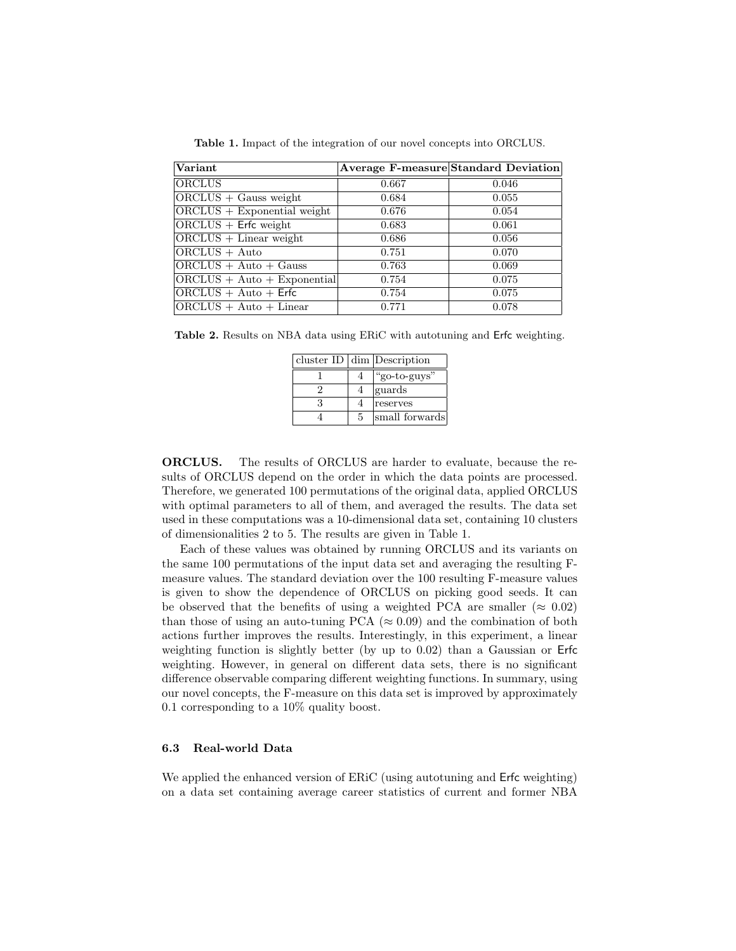| Variant                       |       | <b>Average F-measure</b> Standard Deviation |
|-------------------------------|-------|---------------------------------------------|
| <b>ORCLUS</b>                 | 0.667 | 0.046                                       |
| $ORCLUS + Gauss weight$       | 0.684 | 0.055                                       |
| $ORCLUS + Exponential weight$ | 0.676 | 0.054                                       |
| $ORCLUS +$ Erfc weight        | 0.683 | 0.061                                       |
| $ORCLUS + Linear weight$      | 0.686 | 0.056                                       |
| $ORCLUS + Auto$               | 0.751 | 0.070                                       |
| $ORCLUS + Auto + Gauss$       | 0.763 | 0.069                                       |
| $ORCLUS + Auto + Exponential$ | 0.754 | 0.075                                       |
| $ORCLUS + Auto + Erfc$        | 0.754 | 0.075                                       |
| $ORCLUS + Auto + Linear$      | 0.771 | 0.078                                       |

**Table 1.** Impact of the integration of our novel concepts into ORCLUS.

**Table 2.** Results on NBA data using ERiC with autotuning and Erfc weighting.

|   | cluster ID $\vert$ dim $\vert$ Description |
|---|--------------------------------------------|
|   | "go-to-guys"                               |
|   | guards                                     |
| 3 | reserves                                   |
|   | small forwards                             |

**ORCLUS.** The results of ORCLUS are harder to evaluate, because the results of ORCLUS depend on the order in which the data points are processed. Therefore, we generated 100 permutations of the original data, applied ORCLUS with optimal parameters to all of them, and averaged the results. The data set used in these computations was a 10-dimensional data set, containing 10 clusters of dimensionalities 2 to 5. The results are given in Table 1.

Each of these values was obtained by running ORCLUS and its variants on the same 100 permutations of the input data set and averaging the resulting Fmeasure values. The standard deviation over the 100 resulting F-measure values is given to show the dependence of ORCLUS on picking good seeds. It can be observed that the benefits of using a weighted PCA are smaller ( $\approx 0.02$ ) than those of using an auto-tuning PCA ( $\approx 0.09$ ) and the combination of both actions further improves the results. Interestingly, in this experiment, a linear weighting function is slightly better (by up to 0.02) than a Gaussian or Erfc weighting. However, in general on different data sets, there is no significant difference observable comparing different weighting functions. In summary, using our novel concepts, the F-measure on this data set is improved by approximately 0.1 corresponding to a 10% quality boost.

### **6.3 Real-world Data**

We applied the enhanced version of ERiC (using autotuning and Erfc weighting) on a data set containing average career statistics of current and former NBA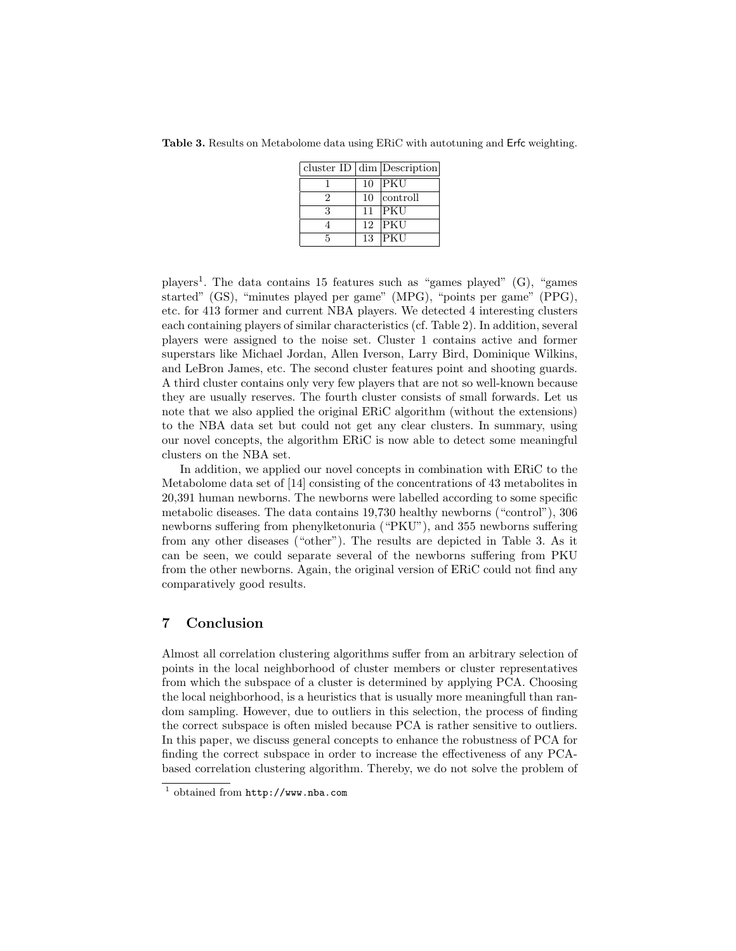**Table 3.** Results on Metabolome data using ERiC with autotuning and Erfc weighting.

|   |    | cluster ID $\vert$ dim $\vert$ Description $\vert$ |
|---|----|----------------------------------------------------|
|   |    | <b>10 PKU</b>                                      |
| 2 | 10 | controll                                           |
| 3 | 11 | <b>PKU</b>                                         |
|   |    | $12$ PKU                                           |
| 5 | 13 | PKU                                                |

players<sup>1</sup>. The data contains 15 features such as "games played"  $(G)$ , "games started" (GS), "minutes played per game" (MPG), "points per game" (PPG), etc. for 413 former and current NBA players. We detected 4 interesting clusters each containing players of similar characteristics (cf. Table 2). In addition, several players were assigned to the noise set. Cluster 1 contains active and former superstars like Michael Jordan, Allen Iverson, Larry Bird, Dominique Wilkins, and LeBron James, etc. The second cluster features point and shooting guards. A third cluster contains only very few players that are not so well-known because they are usually reserves. The fourth cluster consists of small forwards. Let us note that we also applied the original ERiC algorithm (without the extensions) to the NBA data set but could not get any clear clusters. In summary, using our novel concepts, the algorithm ERiC is now able to detect some meaningful clusters on the NBA set.

In addition, we applied our novel concepts in combination with ERiC to the Metabolome data set of [14] consisting of the concentrations of 43 metabolites in 20,391 human newborns. The newborns were labelled according to some specific metabolic diseases. The data contains 19,730 healthy newborns ("control"), 306 newborns suffering from phenylketonuria ("PKU"), and 355 newborns suffering from any other diseases ("other"). The results are depicted in Table 3. As it can be seen, we could separate several of the newborns suffering from PKU from the other newborns. Again, the original version of ERiC could not find any comparatively good results.

# **7 Conclusion**

Almost all correlation clustering algorithms suffer from an arbitrary selection of points in the local neighborhood of cluster members or cluster representatives from which the subspace of a cluster is determined by applying PCA. Choosing the local neighborhood, is a heuristics that is usually more meaningfull than random sampling. However, due to outliers in this selection, the process of finding the correct subspace is often misled because PCA is rather sensitive to outliers. In this paper, we discuss general concepts to enhance the robustness of PCA for finding the correct subspace in order to increase the effectiveness of any PCAbased correlation clustering algorithm. Thereby, we do not solve the problem of

<sup>1</sup> obtained from http://www.nba.com